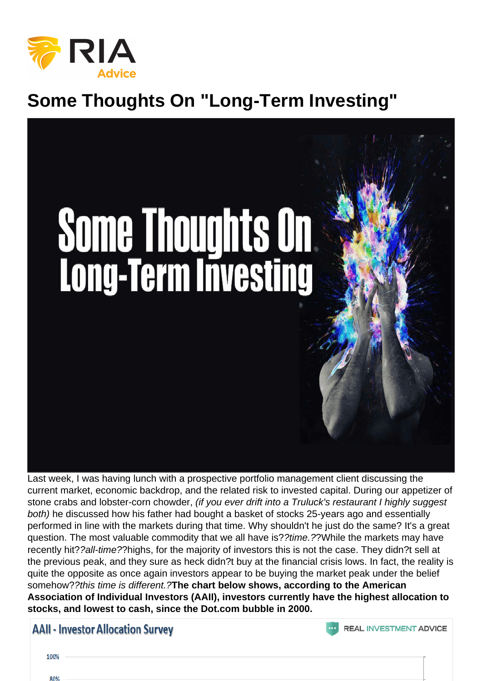## Some Thoughts On "Long-Term Investing"

Last week, I was having lunch with a prospective portfolio management client discussing the current market, economic backdrop, and the related risk to invested capital. During our appetizer of stone crabs and lobster-corn chowder, (if you ever drift into a Truluck's restaurant I highly suggest both) he discussed how his father had bought a basket of stocks 25-years ago and essentially performed in line with the markets during that time. Why shouldn't he just do the same? It's a great question. The most valuable commodity that we all have is??time.??While the markets may have recently hit??all-time??highs, for the majority of investors this is not the case. They didn?t sell at the previous peak, and they sure as heck didn?t buy at the financial crisis lows. In fact, the reality is quite the opposite as once again investors appear to be buying the market peak under the belief somehow??this time is different.?The chart below shows, according to the American Association of Individual Investors (AAII), investors currently have the highest allocation to stocks, and lowest to cash, since the Dot.com bubble in 2000.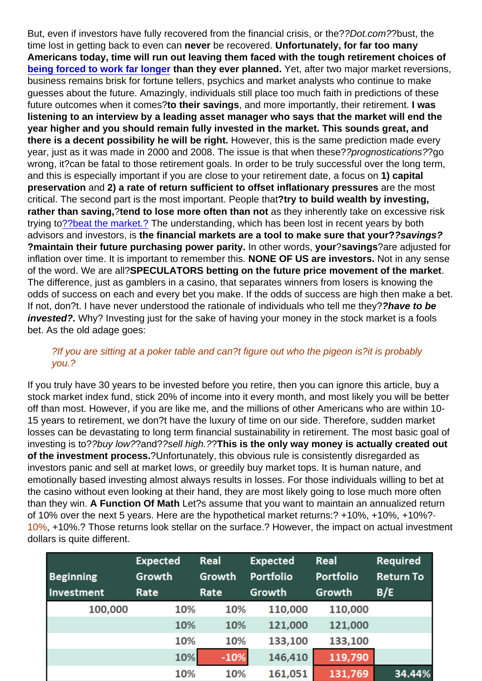But, even if investors have fully recovered from the financial crisis, or the??Dot.com??bust, the time lost in getting back to even can never be recovered. Unfortunately, for far too many Americans today, time will run out leaving them faced with the tough retirement choices of [being forced to work far longer](https://realinvestmentadvice.com/the-insecurity-of-social-security/) than they ever planned. Yet, after two major market reversions, business remains brisk for fortune tellers, psychics and market analysts who continue to make guesses about the future. Amazingly, individuals still place too much faith in predictions of these future outcomes when it comes?to their savings , and more importantly, their retirement. I was listening to an interview by a leading asset manager who says that the market will end the year higher and you should remain fully invested in the market. This sounds great, and there is a decent possibility he will be right. However, this is the same prediction made every year, just as it was made in 2000 and 2008. The issue is that when these??prognostications??go wrong, it?can be fatal to those retirement goals. In order to be truly successful over the long term, and this is especially important if you are close to your retirement date, a focus on 1) capital preservation and 2) a rate of return sufficient to offset inflationary pressures are the most critical. The second part is the most important. People that?try to build wealth by investing, rather than saving, ?tend to lose more often than not as they inherently take on excessive risk trying to[?](https://realinvestmentadvice.com/some-thoughts-on-long-term-investing/index.php/component/flexicontent/2-the-daily-x-change/1631-why-you-can-t-beat-the-index.html?Itemid=164)[?beat the market.?](https://realinvestmentadvice.com/here-is-why-you-shouldnt-benchmark-your-portfolio/) The understanding, which has been lost in recent years by both advisors and investors, is the financial markets are a tool to make sure that your? ? ?savings? ?maintain their future purchasing power parity. In other words, your ?savings ?are adjusted for inflation over time. It is important to remember this. NONE OF US are investors. Not in any sense of the word. We are all?SPECULATORS betting on the future price movement of the market . The difference, just as gamblers in a casino, that separates winners from losers is knowing the odds of success on each and every bet you make. If the odds of success are high then make a bet. If not, don?t. I have never understood the rationale of individuals who tell me they??have to be invested?. Why? Investing just for the sake of having your money in the stock market is a fools bet. As the old adage goes:

## ?If you are sitting at a poker table and can?t figure out who the pigeon is?it is probably you.?

If you truly have 30 years to be invested before you retire, then you can ignore this article, buy a stock market index fund, stick 20% of income into it every month, and most likely you will be better off than most. However, if you are like me, and the millions of other Americans who are within 10- 15 years to retirement, we don?t have the luxury of time on our side. Therefore, sudden market losses can be devastating to long term financial sustainability in retirement. The most basic goal of investing is to??buy low??and??sell high.??This is the only way money is actually created out of the investment process. ?Unfortunately, this obvious rule is consistently disregarded as investors panic and sell at market lows, or greedily buy market tops. It is human nature, and emotionally based investing almost always results in losses. For those individuals willing to bet at the casino without even looking at their hand, they are most likely going to lose much more often than they win. A Function Of Math Let?s assume that you want to maintain an annualized return of 10% over the next 5 years. Here are the hypothetical market returns:? +10%, +10%, +10%?- 10%, +10%.? Those returns look stellar on the surface.? However, the impact on actual investment dollars is quite different.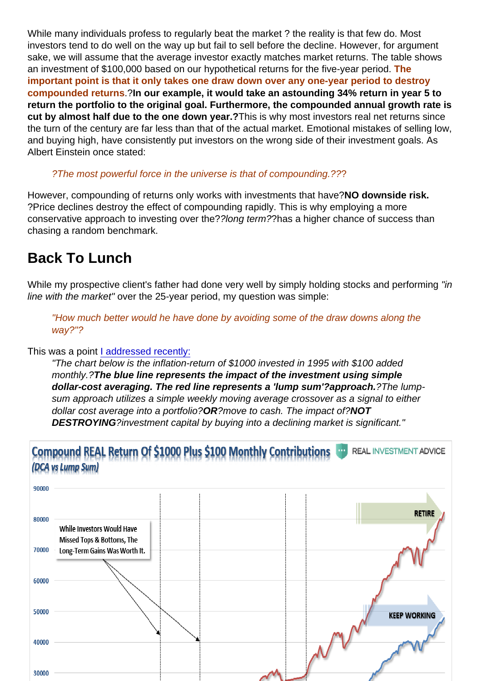While many individuals profess to regularly beat the market ? the reality is that few do. Most investors tend to do well on the way up but fail to sell before the decline. However, for argument sake, we will assume that the average investor exactly matches market returns. The table shows an investment of \$100,000 based on our hypothetical returns for the five-year period. The important point is that it only takes one draw down over any one-year period to destroy compounded returns .?In our example, it would take an astounding 34% return in year 5 to return the portfolio to the original goal. Furthermore, the compounded annual growth rate is cut by almost half due to the one down year.? This is why most investors real net returns since the turn of the century are far less than that of the actual market. Emotional mistakes of selling low, and buying high, have consistently put investors on the wrong side of their investment goals. As Albert Einstein once stated:

## ?The most powerful force in the universe is that of compounding.???

However, compounding of returns only works with investments that have?NO downside risk. ?Price declines destroy the effect of compounding rapidly. This is why employing a more conservative approach to investing over the??long term??has a higher chance of success than chasing a random benchmark.

## Back To Lunch

While my prospective client's father had done very well by simply holding stocks and performing "in line with the market" over the 25-year period, my question was simple:

"How much better would he have done by avoiding some of the draw downs along the way?"?

This was a point [I addressed recently:](https://realinvestmentadvice.com/stocks-the-great-wealth-equalizer/)

"The chart below is the inflation-return of \$1000 invested in 1995 with \$100 added monthly.?The blue line represents the impact of the investment using simple dollar-cost averaging. The red line represents a 'lump sum'?approach. ?The lumpsum approach utilizes a simple weekly moving average crossover as a signal to either dollar cost average into a portfolio?OR?move to cash. The impact of?NOT DESTROYING?investment capital by buying into a declining market is significant."